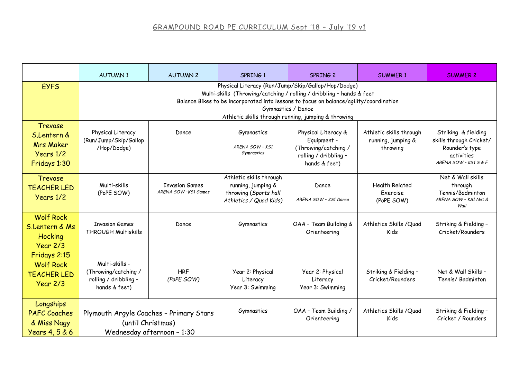|                                                                             | <b>AUTUMN1</b>                                                                                                                                                                                                                                                                                    | <b>AUTUMN 2</b>                              | SPRING 1                                                                                         | SPRING 2                                                                                             | <b>SUMMER 1</b>                                           | <b>SUMMER 2</b>                                                                                         |  |  |  |
|-----------------------------------------------------------------------------|---------------------------------------------------------------------------------------------------------------------------------------------------------------------------------------------------------------------------------------------------------------------------------------------------|----------------------------------------------|--------------------------------------------------------------------------------------------------|------------------------------------------------------------------------------------------------------|-----------------------------------------------------------|---------------------------------------------------------------------------------------------------------|--|--|--|
| <b>EYFS</b>                                                                 | Physical Literacy (Run/Jump/Skip/Gallop/Hop/Dodge)<br>Multi-skills (Throwing/catching / rolling / dribbling - hands & feet<br>Balance Bikes to be incorporated into lessons to focus on balance/agility/coordination<br>Gymnastics / Dance<br>Athletic skills through running, jumping & throwing |                                              |                                                                                                  |                                                                                                      |                                                           |                                                                                                         |  |  |  |
| Trevose<br>S.Lentern &<br><b>Mrs Maker</b><br>Years 1/2<br>Fridays 1:30     | Physical Literacy<br>(Run/Jump/Skip/Gallop<br>/Hop/Dodge)                                                                                                                                                                                                                                         | Dance                                        | Gymnastics<br>ARENA SOW - KS1<br>Gymnastics                                                      | Physical Literacy &<br>Equipment -<br>(Throwing/catching /<br>rolling / dribbling -<br>hands & feet) | Athletic skills through<br>running, jumping &<br>throwing | Striking & fielding<br>skills through Cricket/<br>Rounder's type<br>activities<br>ARENA SOW - KS1 S & F |  |  |  |
| Trevose<br><b>TEACHER LED</b><br>Years 1/2                                  | Multi-skills<br>(PoPE SOW)                                                                                                                                                                                                                                                                        | <b>Invasion Games</b><br>ARENA SOW-KS1 Games | Athletic skills through<br>running, jumping &<br>throwing (Sports hall<br>Athletics / Quad Kids) | Dance<br>ARENA SOW - KS1 Dance                                                                       | <b>Health Related</b><br>Exercise<br>(PoPE SOW)           | Net & Wall skills<br>through<br>Tennis/Badminton<br>ARENA SOW - KS1 Net &<br>Wall                       |  |  |  |
| <b>Wolf Rock</b><br>S.Lentern & Ms<br>Hocking<br>$Year$ 2/3<br>Fridays 2:15 | <b>Invasion Games</b><br><b>THROUGH Multiskills</b>                                                                                                                                                                                                                                               | Dance                                        | Gymnastics                                                                                       | OAA - Team Building &<br>Orienteering                                                                | Athletics Skills / Quad<br>Kids                           | Striking & Fielding -<br>Cricket/Rounders                                                               |  |  |  |
| <b>Wolf Rock</b><br><b>TEACHER LED</b><br>$Year$ 2/3                        | Multi-skills -<br>(Throwing/catching /<br>rolling / dribbling -<br>hands & feet)                                                                                                                                                                                                                  | <b>HRF</b><br>(PoPE SOW)                     | Year 2: Physical<br>Literacy<br>Year 3: Swimming                                                 | Year 2: Physical<br>Literacy<br>Year 3: Swimming                                                     | Striking & Fielding -<br>Cricket/Rounders                 | Net & Wall Skills -<br>Tennis/Badminton                                                                 |  |  |  |
| Longships<br><b>PAFC Coaches</b><br>& Miss Nagy<br>Years 4, 5 & 6           | Plymouth Argyle Coaches - Primary Stars<br>(until Christmas)<br>Wednesday afternoon - 1:30                                                                                                                                                                                                        |                                              | Gymnastics                                                                                       | OAA - Team Building /<br>Orienteering                                                                | Athletics Skills / Quad<br>Kids                           | Striking & Fielding -<br>Cricket / Rounders                                                             |  |  |  |